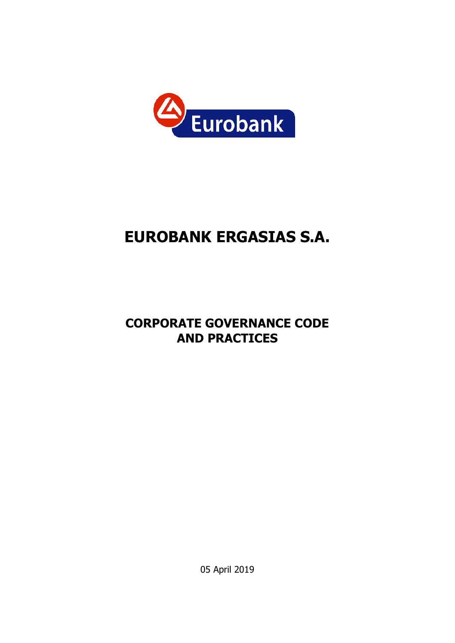

# **EUROBANK ERGASIΑS S.A.**

## **CORPORATE GOVERNANCE CODE AND PRACTICES**

05 April 2019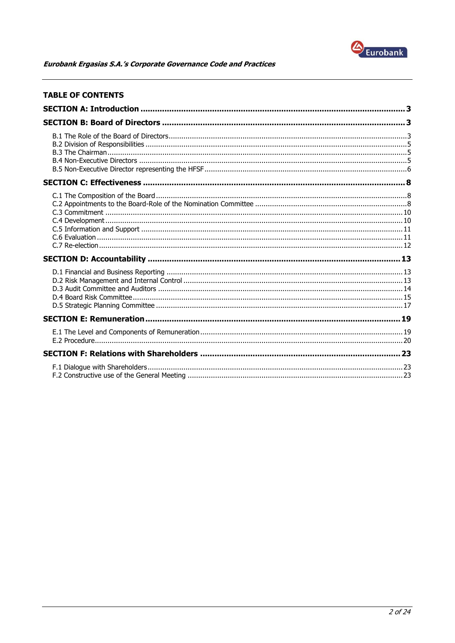

| <b>TABLE OF CONTENTS</b> |  |
|--------------------------|--|
|                          |  |
|                          |  |
|                          |  |
|                          |  |
|                          |  |
|                          |  |
|                          |  |
|                          |  |
|                          |  |
|                          |  |
|                          |  |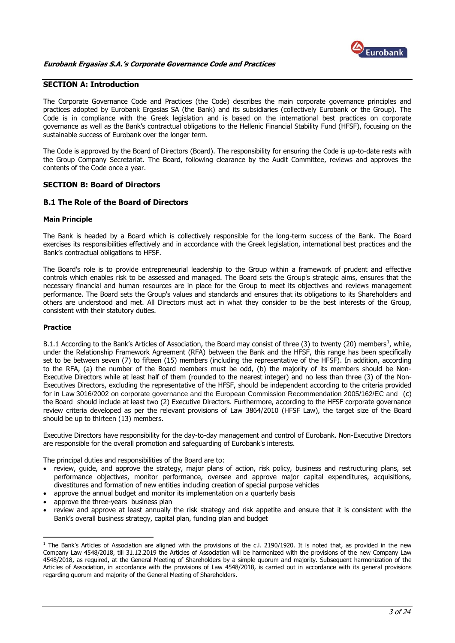

## <span id="page-2-0"></span>**SECTION A: Introduction**

The Corporate Governance Code and Practices (the Code) describes the main corporate governance principles and practices adopted by Eurobank Ergasias SA (the Bank) and its subsidiaries (collectively Eurobank or the Group). The Code is in compliance with the Greek legislation and is based on the international best practices on corporate governance as well as the Bank's contractual obligations to the Hellenic Financial Stability Fund (HFSF), focusing on the sustainable success of Eurobank over the longer term.

The Code is approved by the Board of Directors (Board). The responsibility for ensuring the Code is up-to-date rests with the Group Company Secretariat. The Board, following clearance by the Audit Committee, reviews and approves the contents of the Code once a year.

## <span id="page-2-1"></span>**SECTION B: Board of Directors**

## <span id="page-2-2"></span>**B.1 The Role of the Board of Directors**

#### **Main Principle**

The Bank is headed by a Board which is collectively responsible for the long-term success of the Bank. The Board exercises its responsibilities effectively and in accordance with the Greek legislation, international best practices and the Bank's contractual obligations to HFSF.

The Board's role is to provide entrepreneurial leadership to the Group within a framework of prudent and effective controls which enables risk to be assessed and managed. The Board sets the Group's strategic aims, ensures that the necessary financial and human resources are in place for the Group to meet its objectives and reviews management performance. The Board sets the Group's values and standards and ensures that its obligations to its Shareholders and others are understood and met. All Directors must act in what they consider to be the best interests of the Group, consistent with their statutory duties.

## **Practice**

<u>.</u>

B.1.1 According to the Bank's Articles of Association, the Board may consist of three (3) to twenty (20) members<sup>1</sup>, while, under the Relationship Framework Agreement (RFA) between the Bank and the HFSF, this range has been specifically set to be between seven (7) to fifteen (15) members (including the representative of the HFSF). In addition, according to the RFA, (a) the number of the Board members must be odd, (b) the majority of its members should be Non-Executive Directors while at least half of them (rounded to the nearest integer) and no less than three (3) of the Non-Executives Directors, excluding the representative of the HFSF, should be independent according to the criteria provided for in Law 3016/2002 on corporate governance and the European Commission Recommendation 2005/162/EC and (c) the Board should include at least two (2) Executive Directors. Furthermore, according to the HFSF corporate governance review criteria developed as per the relevant provisions of Law 3864/2010 (HFSF Law), the target size of the Board should be up to thirteen (13) members.

Executive Directors have responsibility for the day-to-day management and control of Eurobank. Non-Executive Directors are responsible for the overall promotion and safeguarding of Eurobank's interests.

The principal duties and responsibilities of the Board are to:

- review, guide, and approve the strategy, major plans of action, risk policy, business and restructuring plans, set performance objectives, monitor performance, oversee and approve major capital expenditures, acquisitions, divestitures and formation of new entities including creation of special purpose vehicles
- approve the annual budget and monitor its implementation on a quarterly basis
- approve the three-years business plan
- review and approve at least annually the risk strategy and risk appetite and ensure that it is consistent with the Bank's overall business strategy, capital plan, funding plan and budget

 $1$  The Bank's Articles of Association are aligned with the provisions of the c.l. 2190/1920. It is noted that, as provided in the new Company Law 4548/2018, till 31.12.2019 the Articles of Association will be harmonized with the provisions of the new Company Law 4548/2018, as required, at the General Meeting of Shareholders by a simple quorum and majority. Subsequent harmonization of the Articles of Association, in accordance with the provisions of Law 4548/2018, is carried out in accordance with its general provisions regarding quorum and majority of the General Meeting of Shareholders.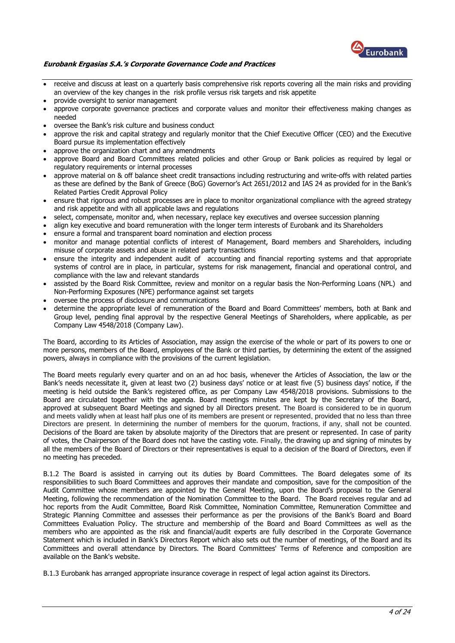

- receive and discuss at least on a quarterly basis comprehensive risk reports covering all the main risks and providing an overview of the key changes in the risk profile versus risk targets and risk appetite
- provide oversight to senior management
- approve corporate governance practices and corporate values and monitor their effectiveness making changes as needed
- oversee the Bank's risk culture and business conduct
- approve the risk and capital strategy and regularly monitor that the Chief Executive Officer (CEO) and the Executive Board pursue its implementation effectively
- approve the organization chart and any amendments
- approve Board and Board Committees related policies and other Group or Bank policies as required by legal or regulatory requirements or internal processes
- approve material on & off balance sheet credit transactions including restructuring and write-offs with related parties as these are defined by the Bank of Greece (BoG) Governor's Act 2651/2012 and IAS 24 as provided for in the Bank's Related Parties Credit Approval Policy
- ensure that rigorous and robust processes are in place to monitor organizational compliance with the agreed strategy and risk appetite and with all applicable laws and regulations
- select, compensate, monitor and, when necessary, replace key executives and oversee succession planning
- align key executive and board remuneration with the longer term interests of Eurobank and its Shareholders
- ensure a formal and transparent board nomination and election process
- monitor and manage potential conflicts of interest of Management, Board members and Shareholders, including misuse of corporate assets and abuse in related party transactions
- ensure the integrity and independent audit of accounting and financial reporting systems and that appropriate systems of control are in place, in particular, systems for risk management, financial and operational control, and compliance with the law and relevant standards
- assisted by the Board Risk Committee, review and monitor on a regular basis the Non-Performing Loans (NPL) and Non-Performing Exposures (NPE) performance against set targets
- oversee the process of disclosure and communications
- determine the appropriate level of remuneration of the Board and Board Committees' members, both at Bank and Group level, pending final approval by the respective General Meetings of Shareholders, where applicable, as per Company Law 4548/2018 (Company Law).

The Board, according to its Articles of Association, may assign the exercise of the whole or part of its powers to one or more persons, members of the Board, employees of the Bank or third parties, by determining the extent of the assigned powers, always in compliance with the provisions of the current legislation.

The Board meets regularly every quarter and on an ad hoc basis, whenever the Articles of Association, the law or the Bank's needs necessitate it, given at least two (2) business days' notice or at least five (5) business days' notice, if the meeting is held outside the Bank's registered office, as per Company Law 4548/2018 provisions. Submissions to the Board are circulated together with the agenda. Board meetings minutes are kept by the Secretary of the Board, approved at subsequent Board Meetings and signed by all Directors present. The Board is considered to be in quorum and meets validly when at least half plus one of its members are present or represented, provided that no less than three Directors are present. In determining the number of members for the quorum, fractions, if any, shall not be counted. Decisions of the Board are taken by absolute majority of the Directors that are present or represented. In case of parity of votes, the Chairperson of the Board does not have the casting vote. Finally, the drawing up and signing of minutes by all the members of the Board of Directors or their representatives is equal to a decision of the Board of Directors, even if no meeting has preceded.

B.1.2 The Board is assisted in carrying out its duties by Board Committees. The Board delegates some of its responsibilities to such Board Committees and approves their mandate and composition, save for the composition of the Audit Committee whose members are appointed by the General Meeting, upon the Board's proposal to the General Meeting, following the recommendation of the Nomination Committee to the Board. The Board receives regular and ad hoc reports from the Audit Committee, Board Risk Committee, Nomination Committee, Remuneration Committee and Strategic Planning Committee and assesses their performance as per the provisions of the Bank's Board and Board Committees Evaluation Policy. The structure and membership of the Board and Board Committees as well as the members who are appointed as the risk and financial/audit experts are fully described in the Corporate Governance Statement which is included in Bank's Directors Report which also sets out the number of meetings, of the Board and its Committees and overall attendance by Directors. The Board Committees' Terms of Reference and composition are available on the Bank's website.

B.1.3 Eurobank has arranged appropriate insurance coverage in respect of legal action against its Directors.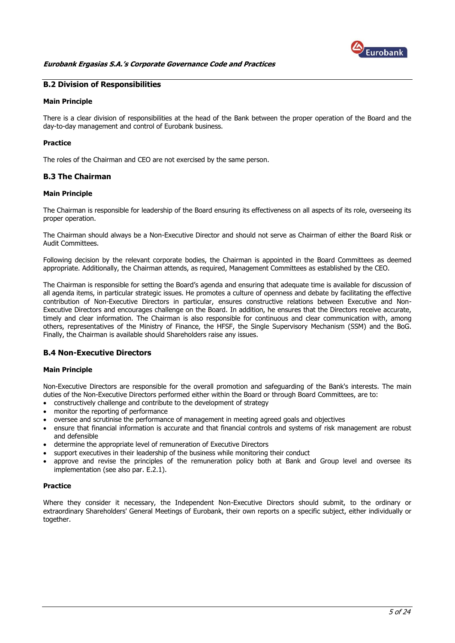

## <span id="page-4-0"></span>**B.2 Division of Responsibilities**

#### **Main Principle**

There is a clear division of responsibilities at the head of the Bank between the proper operation of the Board and the day-to-day management and control of Eurobank business.

## **Practice**

The roles of the Chairman and CEO are not exercised by the same person.

## <span id="page-4-1"></span>**B.3 The Chairman**

#### **Main Principle**

The Chairman is responsible for leadership of the Board ensuring its effectiveness on all aspects of its role, overseeing its proper operation.

The Chairman should always be a Non-Executive Director and should not serve as Chairman of either the Board Risk or Audit Committees.

Following decision by the relevant corporate bodies, the Chairman is appointed in the Board Committees as deemed appropriate. Additionally, the Chairman attends, as required, Management Committees as established by the CEO.

The Chairman is responsible for setting the Board's agenda and ensuring that adequate time is available for discussion of all agenda items, in particular strategic issues. He promotes a culture of openness and debate by facilitating the effective contribution of Non-Executive Directors in particular, ensures constructive relations between Executive and Non-Executive Directors and encourages challenge on the Board. In addition, he ensures that the Directors receive accurate, timely and clear information. The Chairman is also responsible for continuous and clear communication with, among others, representatives of the Ministry of Finance, the HFSF, the Single Supervisory Mechanism (SSM) and the BoG. Finally, the Chairman is available should Shareholders raise any issues.

## <span id="page-4-2"></span>**B.4 Non-Executive Directors**

## **Main Principle**

Non-Executive Directors are responsible for the overall promotion and safeguarding of the Bank's interests. The main duties of the Non-Executive Directors performed either within the Board or through Board Committees, are to:

- constructively challenge and contribute to the development of strategy
- monitor the reporting of performance
- oversee and scrutinise the performance of management in meeting agreed goals and objectives
- ensure that financial information is accurate and that financial controls and systems of risk management are robust and defensible
- determine the appropriate level of remuneration of Executive Directors
- support executives in their leadership of the business while monitoring their conduct
- approve and revise the principles of the remuneration policy both at Bank and Group level and oversee its implementation (see also par. E.2.1).

#### **Practice**

Where they consider it necessary, the Independent Non-Executive Directors should submit, to the ordinary or extraordinary Shareholders' General Meetings of Eurobank, their own reports on a specific subject, either individually or together.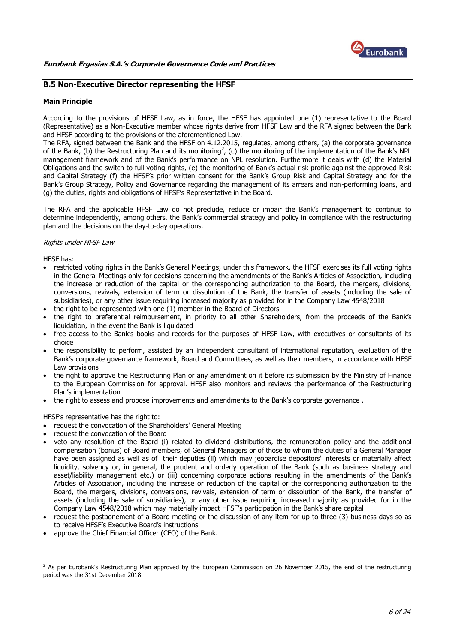

## <span id="page-5-0"></span>**B.5 Non-Executive Director representing the HFSF**

#### **Main Principle**

According to the provisions of HFSF Law, as in force, the HFSF has appointed one (1) representative to the Board (Representative) as a Non-Executive member whose rights derive from HFSF Law and the RFA signed between the Bank and HFSF according to the provisions of the aforementioned Law.

The RFA, signed between the Bank and the HFSF on 4.12.2015, regulates, among others, (a) the corporate governance of the Bank, (b) the Restructuring Plan and its monitoring<sup>2</sup>, (c) the monitoring of the implementation of the Bank's NPL management framework and of the Bank's performance on NPL resolution. Furthermore it deals with (d) the Material Obligations and the switch to full voting rights, (e) the monitoring of Bank's actual risk profile against the approved Risk and Capital Strategy (f) the HFSF's prior written consent for the Bank's Group Risk and Capital Strategy and for the Bank's Group Strategy, Policy and Governance regarding the management of its arrears and non-performing loans, and (g) the duties, rights and obligations of HFSF's Representative in the Board.

The RFA and the applicable HFSF Law do not preclude, reduce or impair the Bank's management to continue to determine independently, among others, the Bank's commercial strategy and policy in compliance with the restructuring plan and the decisions on the day-to-day operations.

#### Rights under HFSF Law

HFSF has:

<u>.</u>

- restricted voting rights in the Bank's General Meetings; under this framework, the HFSF exercises its full voting rights in the General Meetings only for decisions concerning the amendments of the Bank's Articles of Association, including the increase or reduction of the capital or the corresponding authorization to the Board, the mergers, divisions, conversions, revivals, extension of term or dissolution of the Bank, the transfer of assets (including the sale of subsidiaries), or any other issue requiring increased majority as provided for in the Company Law 4548/2018
- the right to be represented with one (1) member in the Board of Directors
- the right to preferential reimbursement, in priority to all other Shareholders, from the proceeds of the Bank's liquidation, in the event the Bank is liquidated
- free access to the Bank's books and records for the purposes of HFSF Law, with executives or consultants of its choice
- the responsibility to perform, assisted by an independent consultant of international reputation, evaluation of the Bank's corporate governance framework, Board and Committees, as well as their members, in accordance with HFSF Law provisions
- the right to approve the Restructuring Plan or any amendment on it before its submission by the Ministry of Finance to the European Commission for approval. HFSF also monitors and reviews the performance of the Restructuring Plan's implementation
- the right to assess and propose improvements and amendments to the Bank's corporate governance .

HFSF's representative has the right to:

- request the convocation of the Shareholders' General Meeting
- request the convocation of the Board
- veto any resolution of the Board (i) related to dividend distributions, the remuneration policy and the additional compensation (bonus) of Board members, of General Managers or of those to whom the duties of a General Manager have been assigned as well as of their deputies (ii) which may jeopardise depositors' interests or materially affect liquidity, solvency or, in general, the prudent and orderly operation of the Bank (such as business strategy and asset/liability management etc.) or (iii) concerning corporate actions resulting in the amendments of the Bank's Articles of Association, including the increase or reduction of the capital or the corresponding authorization to the Board, the mergers, divisions, conversions, revivals, extension of term or dissolution of the Bank, the transfer of assets (including the sale of subsidiaries), or any other issue requiring increased majority as provided for in the Company Law 4548/2018 which may materially impact HFSF's participation in the Bank's share capital
- request the postponement of a Board meeting or the discussion of any item for up to three (3) business days so as to receive HFSF's Executive Board's instructions
- approve the Chief Financial Officer (CFO) of the Bank.

<sup>&</sup>lt;sup>2</sup> As per Eurobank's Restructuring Plan approved by the European Commission on 26 November 2015, the end of the restructuring period was the 31st December 2018.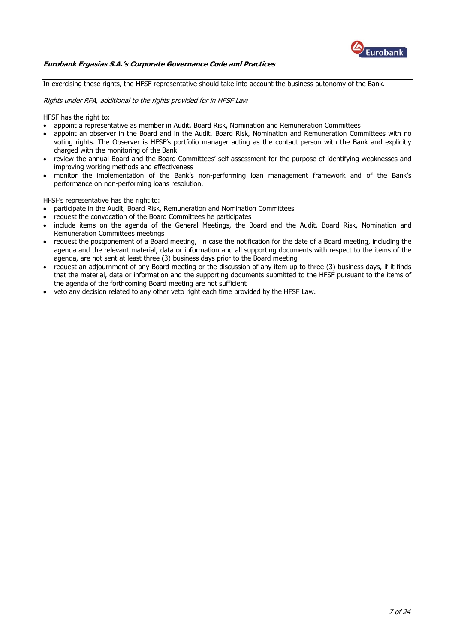

In exercising these rights, the HFSF representative should take into account the business autonomy of the Bank.

#### Rights under RFA, additional to the rights provided for in HFSF Law

HFSF has the right to:

- appoint a representative as member in Audit, Board Risk, Nomination and Remuneration Committees
- appoint an observer in the Board and in the Audit, Board Risk, Nomination and Remuneration Committees with no voting rights. The Observer is HFSF's portfolio manager acting as the contact person with the Bank and explicitly charged with the monitoring of the Bank
- review the annual Board and the Board Committees' self-assessment for the purpose of identifying weaknesses and improving working methods and effectiveness
- monitor the implementation of the Bank's non-performing loan management framework and of the Bank's performance on non-performing loans resolution.

HFSF's representative has the right to:

- participate in the Audit, Board Risk, Remuneration and Nomination Committees
- request the convocation of the Board Committees he participates
- include items on the agenda of the General Meetings, the Board and the Audit, Board Risk, Nomination and Remuneration Committees meetings
- request the postponement of a Board meeting, in case the notification for the date of a Board meeting, including the agenda and the relevant material, data or information and all supporting documents with respect to the items of the agenda, are not sent at least three (3) business days prior to the Board meeting
- request an adjournment of any Board meeting or the discussion of any item up to three (3) business days, if it finds that the material, data or information and the supporting documents submitted to the HFSF pursuant to the items of the agenda of the forthcoming Board meeting are not sufficient
- veto any decision related to any other veto right each time provided by the HFSF Law.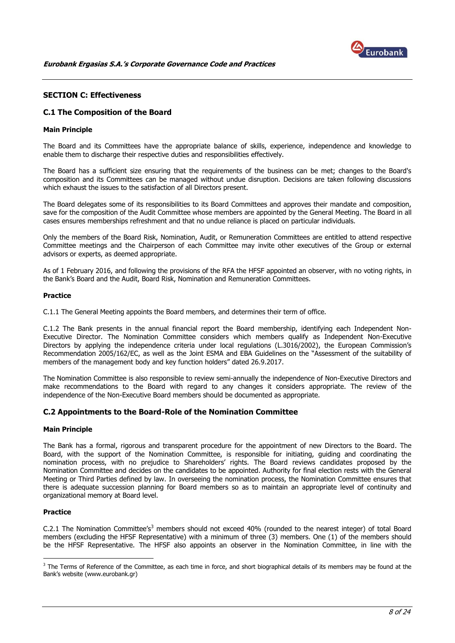

## <span id="page-7-0"></span>**SECTION C: Effectiveness**

## <span id="page-7-1"></span>**C.1 The Composition of the Board**

#### **Main Principle**

The Board and its Committees have the appropriate balance of skills, experience, independence and knowledge to enable them to discharge their respective duties and responsibilities effectively.

The Board has a sufficient size ensuring that the requirements of the business can be met; changes to the Board's composition and its Committees can be managed without undue disruption. Decisions are taken following discussions which exhaust the issues to the satisfaction of all Directors present.

The Board delegates some of its responsibilities to its Board Committees and approves their mandate and composition, save for the composition of the Audit Committee whose members are appointed by the General Meeting. The Board in all cases ensures memberships refreshment and that no undue reliance is placed on particular individuals.

Only the members of the Board Risk, Nomination, Audit, or Remuneration Committees are entitled to attend respective Committee meetings and the Chairperson of each Committee may invite other executives of the Group or external advisors or experts, as deemed appropriate.

As of 1 February 2016, and following the provisions of the RFA the HFSF appointed an observer, with no voting rights, in the Bank's Board and the Audit, Board Risk, Nomination and Remuneration Committees.

#### **Practice**

C.1.1 The General Meeting appoints the Board members, and determines their term of office.

C.1.2 The Bank presents in the annual financial report the Board membership, identifying each Independent Non-Executive Director. The Nomination Committee considers which members qualify as Independent Non-Executive Directors by applying the independence criteria under local regulations (L.3016/2002), the European Commission's Recommendation 2005/162/EC, as well as the Joint ESMA and EBA Guidelines on the "Assessment of the suitability of members of the management body and key function holders" dated 26.9.2017.

The Nomination Committee is also responsible to review semi-annually the independence of Non-Executive Directors and make recommendations to the Board with regard to any changes it considers appropriate. The review of the independence of the Non-Executive Board members should be documented as appropriate.

## <span id="page-7-2"></span>**C.2 Appointments to the Board-Role of the Nomination Committee**

#### **Main Principle**

The Bank has a formal, rigorous and transparent procedure for the appointment of new Directors to the Board. The Board, with the support of the Nomination Committee, is responsible for initiating, guiding and coordinating the nomination process, with no prejudice to Shareholders' rights. The Board reviews candidates proposed by the Nomination Committee and decides on the candidates to be appointed. Authority for final election rests with the General Meeting or Third Parties defined by law. In overseeing the nomination process, the Nomination Committee ensures that there is adequate succession planning for Board members so as to maintain an appropriate level of continuity and organizational memory at Board level.

## **Practice**

<u>.</u>

C.2.1 The Nomination Committee's<sup>3</sup> members should not exceed 40% (rounded to the nearest integer) of total Board members (excluding the HFSF Representative) with a minimum of three (3) members. One (1) of the members should be the HFSF Representative. The HFSF also appoints an observer in the Nomination Committee, in line with the

 $3$  The Terms of Reference of the Committee, as each time in force, and short biographical details of its members may be found at the Bank's website (www.eurobank.gr)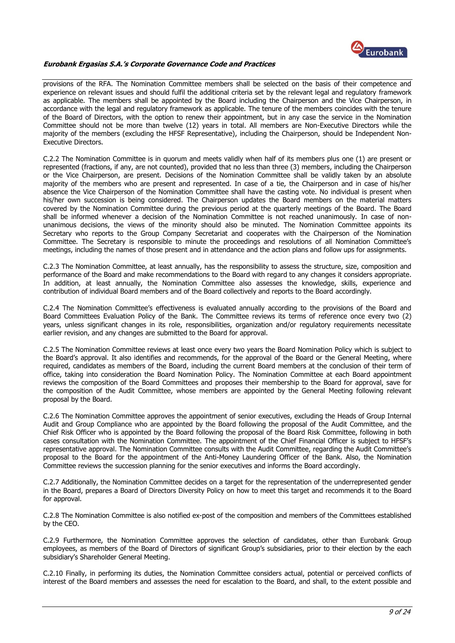

provisions of the RFA. The Nomination Committee members shall be selected on the basis of their competence and experience on relevant issues and should fulfil the additional criteria set by the relevant legal and regulatory framework as applicable. The members shall be appointed by the Board including the Chairperson and the Vice Chairperson, in accordance with the legal and regulatory framework as applicable. The tenure of the members coincides with the tenure of the Board of Directors, with the option to renew their appointment, but in any case the service in the Nomination Committee should not be more than twelve (12) years in total. All members are Non-Executive Directors while the majority of the members (excluding the HFSF Representative), including the Chairperson, should be Independent Non-Executive Directors.

C.2.2 The Nomination Committee is in quorum and meets validly when half of its members plus one (1) are present or represented (fractions, if any, are not counted), provided that no less than three (3) members, including the Chairperson or the Vice Chairperson, are present. Decisions of the Nomination Committee shall be validly taken by an absolute majority of the members who are present and represented. In case of a tie, the Chairperson and in case of his/her absence the Vice Chairperson of the Nomination Committee shall have the casting vote. No individual is present when his/her own succession is being considered. The Chairperson updates the Board members on the material matters covered by the Nomination Committee during the previous period at the quarterly meetings of the Board. The Board shall be informed whenever a decision of the Nomination Committee is not reached unanimously. In case of nonunanimous decisions, the views of the minority should also be minuted. The Nomination Committee appoints its Secretary who reports to the Group Company Secretariat and cooperates with the Chairperson of the Nomination Committee. The Secretary is responsible to minute the proceedings and resolutions of all Nomination Committee's meetings, including the names of those present and in attendance and the action plans and follow ups for assignments.

C.2.3 The Nomination Committee, at least annually, has the responsibility to assess the structure, size, composition and performance of the Board and make recommendations to the Board with regard to any changes it considers appropriate. In addition, at least annually, the Nomination Committee also assesses the knowledge, skills, experience and contribution of individual Board members and of the Board collectively and reports to the Board accordingly.

C.2.4 The Nomination Committee's effectiveness is evaluated annually according to the provisions of the Board and Board Committees Evaluation Policy of the Bank. The Committee reviews its terms of reference once every two (2) years, unless significant changes in its role, responsibilities, organization and/or regulatory requirements necessitate earlier revision, and any changes are submitted to the Board for approval.

C.2.5 The Nomination Committee reviews at least once every two years the Board Nomination Policy which is subject to the Board's approval. It also identifies and recommends, for the approval of the Board or the General Meeting, where required, candidates as members of the Board, including the current Board members at the conclusion of their term of office, taking into consideration the Board Nomination Policy. The Nomination Committee at each Board appointment reviews the composition of the Board Committees and proposes their membership to the Board for approval, save for the composition of the Audit Committee, whose members are appointed by the General Meeting following relevant proposal by the Board.

C.2.6 The Nomination Committee approves the appointment of senior executives, excluding the Heads of Group Internal Audit and Group Compliance who are appointed by the Board following the proposal of the Audit Committee, and the Chief Risk Officer who is appointed by the Board following the proposal of the Board Risk Committee, following in both cases consultation with the Nomination Committee. The appointment of the Chief Financial Officer is subject to HFSF's representative approval. The Nomination Committee consults with the Audit Committee, regarding the Audit Committee's proposal to the Board for the appointment of the Anti-Money Laundering Officer of the Bank. Also, the Nomination Committee reviews the succession planning for the senior executives and informs the Board accordingly.

C.2.7 Additionally, the Nomination Committee decides on a target for the representation of the underrepresented gender in the Board, prepares a Board of Directors Diversity Policy on how to meet this target and recommends it to the Board for approval.

C.2.8 The Nomination Committee is also notified ex-post of the composition and members of the Committees established by the CEO.

C.2.9 Furthermore, the Nomination Committee approves the selection of candidates, other than Eurobank Group employees, as members of the Board of Directors of significant Group's subsidiaries, prior to their election by the each subsidiary's Shareholder General Meeting.

C.2.10 Finally, in performing its duties, the Nomination Committee considers actual, potential or perceived conflicts of interest of the Board members and assesses the need for escalation to the Board, and shall, to the extent possible and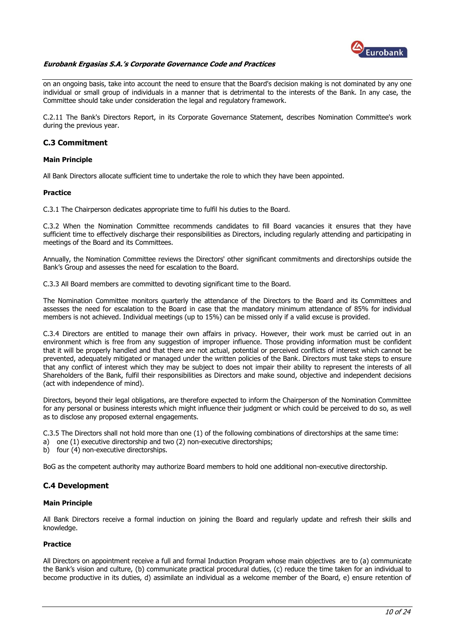

on an ongoing basis, take into account the need to ensure that the Board's decision making is not dominated by any one individual or small group of individuals in a manner that is detrimental to the interests of the Bank. In any case, the Committee should take under consideration the legal and regulatory framework.

C.2.11 The Bank's Directors Report, in its Corporate Governance Statement, describes Nomination Committee's work during the previous year.

## <span id="page-9-0"></span>**C.3 Commitment**

#### **Main Principle**

All Bank Directors allocate sufficient time to undertake the role to which they have been appointed.

#### **Practice**

C.3.1 The Chairperson dedicates appropriate time to fulfil his duties to the Board.

C.3.2 When the Nomination Committee recommends candidates to fill Board vacancies it ensures that they have sufficient time to effectively discharge their responsibilities as Directors, including regularly attending and participating in meetings of the Board and its Committees.

Annually, the Nomination Committee reviews the Directors' other significant commitments and directorships outside the Bank's Group and assesses the need for escalation to the Board.

C.3.3 All Board members are committed to devoting significant time to the Board.

The Nomination Committee monitors quarterly the attendance of the Directors to the Board and its Committees and assesses the need for escalation to the Board in case that the mandatory minimum attendance of 85% for individual members is not achieved. Individual meetings (up to 15%) can be missed only if a valid excuse is provided.

C.3.4 Directors are entitled to manage their own affairs in privacy. However, their work must be carried out in an environment which is free from any suggestion of improper influence. Those providing information must be confident that it will be properly handled and that there are not actual, potential or perceived conflicts of interest which cannot be prevented, adequately mitigated or managed under the written policies of the Bank. Directors must take steps to ensure that any conflict of interest which they may be subject to does not impair their ability to represent the interests of all Shareholders of the Bank, fulfil their responsibilities as Directors and make sound, objective and independent decisions (act with independence of mind).

Directors, beyond their legal obligations, are therefore expected to inform the Chairperson of the Nomination Committee for any personal or business interests which might influence their judgment or which could be perceived to do so, as well as to disclose any proposed external engagements.

C.3.5 The Directors shall not hold more than one (1) of the following combinations of directorships at the same time:

a) one (1) executive directorship and two (2) non-executive directorships;

b) four (4) non-executive directorships.

BoG as the competent authority may authorize Board members to hold one additional non-executive directorship.

## <span id="page-9-1"></span>**C.4 Development**

#### **Main Principle**

All Βank Directors receive a formal induction on joining the Board and regularly update and refresh their skills and knowledge.

#### **Practice**

All Directors on appointment receive a full and formal Induction Program whose main objectives are to (a) communicate the Bank's vision and culture, (b) communicate practical procedural duties, (c) reduce the time taken for an individual to become productive in its duties, d) assimilate an individual as a welcome member of the Board, e) ensure retention of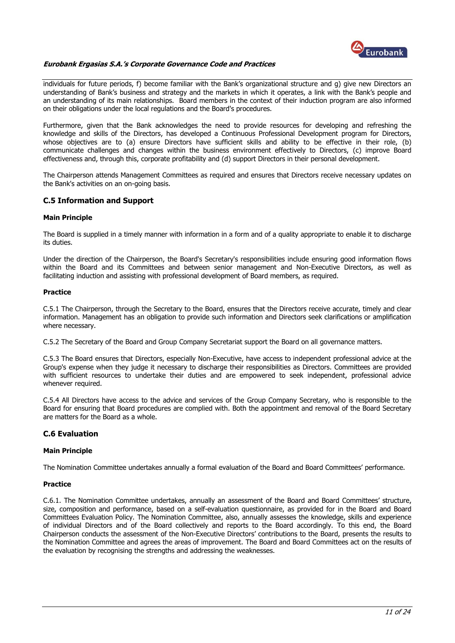

individuals for future periods, f) become familiar with the Bank's organizational structure and g) give new Directors an understanding of Bank's business and strategy and the markets in which it operates, a link with the Bank's people and an understanding of its main relationships. Board members in the context of their induction program are also informed on their obligations under the local regulations and the Board's procedures.

Furthermore, given that the Bank acknowledges the need to provide resources for developing and refreshing the knowledge and skills of the Directors, has developed a Continuous Professional Development program for Directors, whose objectives are to (a) ensure Directors have sufficient skills and ability to be effective in their role, (b) communicate challenges and changes within the business environment effectively to Directors, (c) improve Board effectiveness and, through this, corporate profitability and (d) support Directors in their personal development.

The Chairperson attends Management Committees as required and ensures that Directors receive necessary updates on the Bank's activities on an on-going basis.

## <span id="page-10-0"></span>**C.5 Information and Support**

## **Main Principle**

The Board is supplied in a timely manner with information in a form and of a quality appropriate to enable it to discharge its duties.

Under the direction of the Chairperson, the Board's Secretary's responsibilities include ensuring good information flows within the Board and its Committees and between senior management and Non-Executive Directors, as well as facilitating induction and assisting with professional development of Board members, as required.

#### **Practice**

C.5.1 The Chairperson, through the Secretary to the Board, ensures that the Directors receive accurate, timely and clear information. Management has an obligation to provide such information and Directors seek clarifications or amplification where necessary.

C.5.2 The Secretary of the Board and Group Company Secretariat support the Board on all governance matters.

C.5.3 The Board ensures that Directors, especially Non-Executive, have access to independent professional advice at the Group's expense when they judge it necessary to discharge their responsibilities as Directors. Committees are provided with sufficient resources to undertake their duties and are empowered to seek independent, professional advice whenever required.

C.5.4 All Directors have access to the advice and services of the Group Company Secretary, who is responsible to the Board for ensuring that Board procedures are complied with. Both the appointment and removal of the Board Secretary are matters for the Board as a whole.

## <span id="page-10-1"></span>**C.6 Evaluation**

## **Main Principle**

The Nomination Committee undertakes annually a formal evaluation of the Board and Board Committees' performance.

## **Practice**

C.6.1. The Nomination Committee undertakes, annually an assessment of the Board and Board Committees' structure, size, composition and performance, based on a self-evaluation questionnaire, as provided for in the Board and Board Committees Evaluation Policy. The Nomination Committee, also, annually assesses the knowledge, skills and experience of individual Directors and of the Board collectively and reports to the Board accordingly. To this end, the Board Chairperson conducts the assessment of the Non-Executive Directors' contributions to the Board, presents the results to the Nomination Committee and agrees the areas of improvement. The Board and Board Committees act on the results of the evaluation by recognising the strengths and addressing the weaknesses.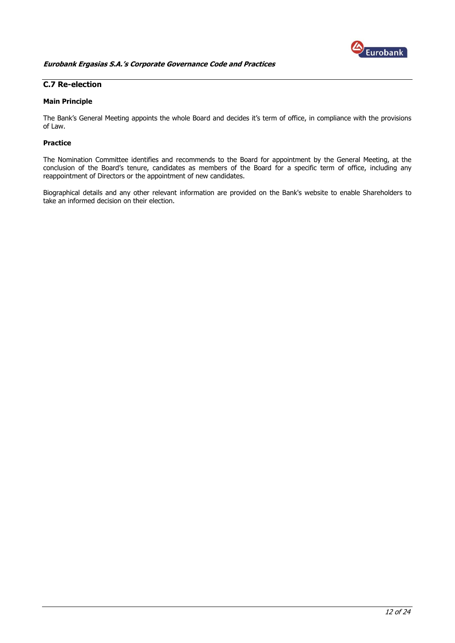

## <span id="page-11-0"></span>**C.7 Re-election**

## **Main Principle**

The Bank's General Meeting appoints the whole Board and decides it's term of office, in compliance with the provisions of Law.

## **Practice**

The Nomination Committee identifies and recommends to the Board for appointment by the General Meeting, at the conclusion of the Board's tenure, candidates as members of the Board for a specific term of office, including any reappointment of Directors or the appointment of new candidates.

Biographical details and any other relevant information are provided on the Bank's website to enable Shareholders to take an informed decision on their election.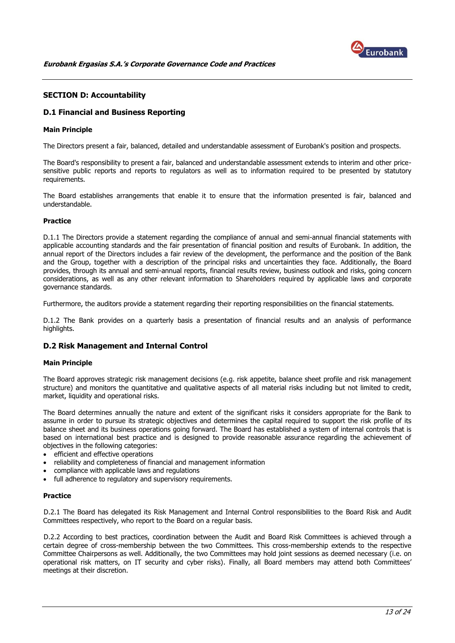

## <span id="page-12-0"></span>**SECTION D: Accountability**

## <span id="page-12-1"></span>**D.1 Financial and Business Reporting**

#### **Main Principle**

The Directors present a fair, balanced, detailed and understandable assessment of Eurobank's position and prospects.

The Board's responsibility to present a fair, balanced and understandable assessment extends to interim and other pricesensitive public reports and reports to regulators as well as to information required to be presented by statutory requirements.

The Board establishes arrangements that enable it to ensure that the information presented is fair, balanced and understandable.

#### **Practice**

D.1.1 The Directors provide a statement regarding the compliance of annual and semi-annual financial statements with applicable accounting standards and the fair presentation of financial position and results of Eurobank. In addition, the annual report of the Directors includes a fair review of the development, the performance and the position of the Bank and the Group, together with a description of the principal risks and uncertainties they face. Additionally, the Board provides, through its annual and semi-annual reports, financial results review, business outlook and risks, going concern considerations, as well as any other relevant information to Shareholders required by applicable laws and corporate governance standards.

Furthermore, the auditors provide a statement regarding their reporting responsibilities on the financial statements.

D.1.2 The Bank provides on a quarterly basis a presentation of financial results and an analysis of performance highlights.

## <span id="page-12-2"></span>**D.2 Risk Management and Internal Control**

#### **Main Principle**

The Board approves strategic risk management decisions (e.g. risk appetite, balance sheet profile and risk management structure) and monitors the quantitative and qualitative aspects of all material risks including but not limited to credit, market, liquidity and operational risks.

The Board determines annually the nature and extent of the significant risks it considers appropriate for the Bank to assume in order to pursue its strategic objectives and determines the capital required to support the risk profile of its balance sheet and its business operations going forward. The Board has established a system of internal controls that is based on international best practice and is designed to provide reasonable assurance regarding the achievement of objectives in the following categories:

- efficient and effective operations
- reliability and completeness of financial and management information
- compliance with applicable laws and regulations
- full adherence to regulatory and supervisory requirements.

#### **Practice**

D.2.1 The Board has delegated its Risk Management and Internal Control responsibilities to the Board Risk and Audit Committees respectively, who report to the Board on a regular basis.

D.2.2 According to best practices, coordination between the Audit and Board Risk Committees is achieved through a certain degree of cross-membership between the two Committees. This cross-membership extends to the respective Committee Chairpersons as well. Additionally, the two Committees may hold joint sessions as deemed necessary (i.e. on operational risk matters, on IT security and cyber risks). Finally, all Board members may attend both Committees' meetings at their discretion.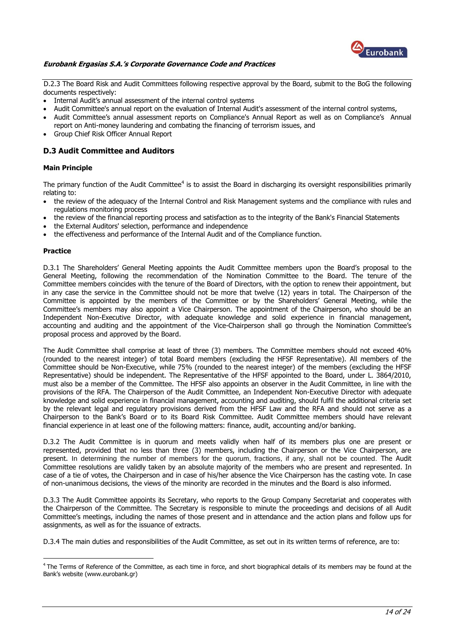

D.2.3 The Board Risk and Audit Committees following respective approval by the Board, submit to the BoG the following documents respectively:

- Internal Audit's annual assessment of the internal control systems
- Audit Committee's annual report on the evaluation of Internal Audit's assessment of the internal control systems,
- Audit Committee's annual assessment reports on Compliance's Annual Report as well as on Compliance's Annual report on Anti-money laundering and combating the financing of terrorism issues, and
- Group Chief Risk Officer Annual Report

## <span id="page-13-0"></span>**D.3 Audit Committee and Auditors**

## **Main Principle**

The primary function of the Audit Committee<sup>4</sup> is to assist the Board in discharging its oversight responsibilities primarily relating to:

- the review of the adequacy of the Internal Control and Risk Management systems and the compliance with rules and regulations monitoring process
- the review of the financial reporting process and satisfaction as to the integrity of the Bank's Financial Statements
- the External Auditors' selection, performance and independence
- the effectiveness and performance of the Internal Audit and of the Compliance function.

#### **Practice**

<u>.</u>

D.3.1 The Shareholders' General Meeting appoints the Audit Committee members upon the Board's proposal to the General Meeting, following the recommendation of the Nomination Committee to the Board. The tenure of the Committee members coincides with the tenure of the Board of Directors, with the option to renew their appointment, but in any case the service in the Committee should not be more that twelve (12) years in total. The Chairperson of the Committee is appointed by the members of the Committee or by the Shareholders' General Meeting, while the Committee's members may also appoint a Vice Chairperson. The appointment of the Chairperson, who should be an Independent Non-Executive Director, with adequate knowledge and solid experience in financial management, accounting and auditing and the appointment of the Vice-Chairperson shall go through the Nomination Committee's proposal process and approved by the Board.

The Audit Committee shall comprise at least of three (3) members. The Committee members should not exceed 40% (rounded to the nearest integer) of total Board members (excluding the HFSF Representative). All members of the Committee should be Non-Executive, while 75% (rounded to the nearest integer) of the members (excluding the HFSF Representative) should be independent. The Representative of the HFSF appointed to the Board, under L. 3864/2010, must also be a member of the Committee. The HFSF also appoints an observer in the Audit Committee, in line with the provisions of the RFA. The Chairperson of the Audit Committee, an Independent Non-Executive Director with adequate knowledge and solid experience in financial management, accounting and auditing, should fulfil the additional criteria set by the relevant legal and regulatory provisions derived from the HFSF Law and the RFA and should not serve as a Chairperson to the Bank's Board or to its Board Risk Committee. Audit Committee members should have relevant financial experience in at least one of the following matters: finance, audit, accounting and/or banking.

D.3.2 The Audit Committee is in quorum and meets validly when half of its members plus one are present or represented, provided that no less than three (3) members, including the Chairperson or the Vice Chairperson, are present. In determining the number of members for the quorum, fractions, if any, shall not be counted. The Audit Committee resolutions are validly taken by an absolute majority of the members who are present and represented. In case of a tie of votes, the Chairperson and in case of his/her absence the Vice Chairperson has the casting vote. In case of non-unanimous decisions, the views of the minority are recorded in the minutes and the Board is also informed.

D.3.3 The Audit Committee appoints its Secretary, who reports to the Group Company Secretariat and cooperates with the Chairperson of the Committee. The Secretary is responsible to minute the proceedings and decisions of all Audit Committee's meetings, including the names of those present and in attendance and the action plans and follow ups for assignments, as well as for the issuance of extracts.

D.3.4 The main duties and responsibilities of the Audit Committee, as set out in its written terms of reference, are to:

<sup>&</sup>lt;sup>4</sup> The Terms of Reference of the Committee, as each time in force, and short biographical details of its members may be found at the Bank's website (www.eurobank.gr)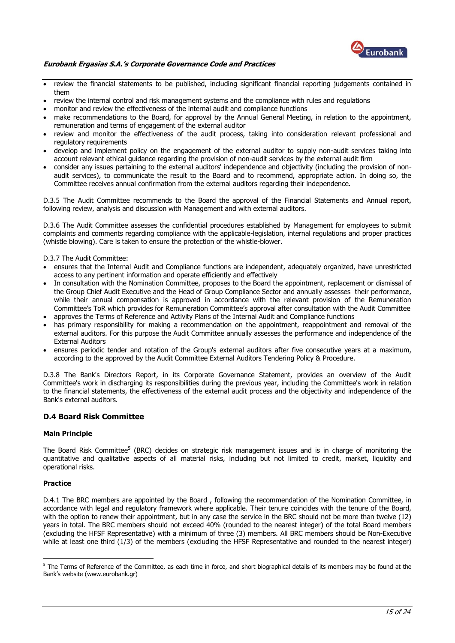

- review the financial statements to be published, including significant financial reporting judgements contained in them
- review the internal control and risk management systems and the compliance with rules and regulations
- monitor and review the effectiveness of the internal audit and compliance functions
- make recommendations to the Board, for approval by the Annual General Meeting, in relation to the appointment, remuneration and terms of engagement of the external auditor
- review and monitor the effectiveness of the audit process, taking into consideration relevant professional and regulatory requirements
- develop and implement policy on the engagement of the external auditor to supply non-audit services taking into account relevant ethical guidance regarding the provision of non-audit services by the external audit firm
- consider any issues pertaining to the external auditors' independence and objectivity (including the provision of nonaudit services), to communicate the result to the Board and to recommend, appropriate action. In doing so, the Committee receives annual confirmation from the external auditors regarding their independence.

D.3.5 The Audit Committee recommends to the Board the approval of the Financial Statements and Annual report, following review, analysis and discussion with Management and with external auditors.

D.3.6 The Audit Committee assesses the confidential procedures established by Management for employees to submit complaints and comments regarding compliance with the applicable-legislation, internal regulations and proper practices (whistle blowing). Care is taken to ensure the protection of the whistle-blower.

#### D.3.7 The Audit Committee:

- ensures that the Internal Audit and Compliance functions are independent, adequately organized, have unrestricted access to any pertinent information and operate efficiently and effectively
- In consultation with the Nomination Committee, proposes to the Board the appointment, replacement or dismissal of the Group Chief Audit Executive and the Head of Group Compliance Sector and annually assesses their performance, while their annual compensation is approved in accordance with the relevant provision of the Remuneration Committee's ToR which provides for Remuneration Committee's approval after consultation with the Audit Committee
- approves the Terms of Reference and Activity Plans of the Internal Audit and Compliance functions
- has primary responsibility for making a recommendation on the appointment, reappointment and removal of the external auditors. For this purpose the Audit Committee annually assesses the performance and independence of the External Auditors
- ensures periodic tender and rotation of the Group's external auditors after five consecutive years at a maximum, according to the approved by the Audit Committee External Auditors Tendering Policy & Procedure.

D.3.8 The Bank's Directors Report, in its Corporate Governance Statement, provides an overview of the Audit Committee's work in discharging its responsibilities during the previous year, including the Committee's work in relation to the financial statements, the effectiveness of the external audit process and the objectivity and independence of the Bank's external auditors.

## <span id="page-14-0"></span>**D.4 Board Risk Committee**

#### **Main Principle**

The Board Risk Committee<sup>5</sup> (BRC) decides on strategic risk management issues and is in charge of monitoring the quantitative and qualitative aspects of all material risks, including but not limited to credit, market, liquidity and operational risks.

## **Practice**

<u>.</u>

D.4.1 The BRC members are appointed by the Board , following the recommendation of the Nomination Committee, in accordance with legal and regulatory framework where applicable. Their tenure coincides with the tenure of the Board, with the option to renew their appointment, but in any case the service in the BRC should not be more than twelve (12) years in total. The BRC members should not exceed 40% (rounded to the nearest integer) of the total Board members (excluding the HFSF Representative) with a minimum of three (3) members. All BRC members should be Non-Executive while at least one third (1/3) of the members (excluding the HFSF Representative and rounded to the nearest integer)

 $5$  The Terms of Reference of the Committee, as each time in force, and short biographical details of its members may be found at the Bank's website (www.eurobank.gr)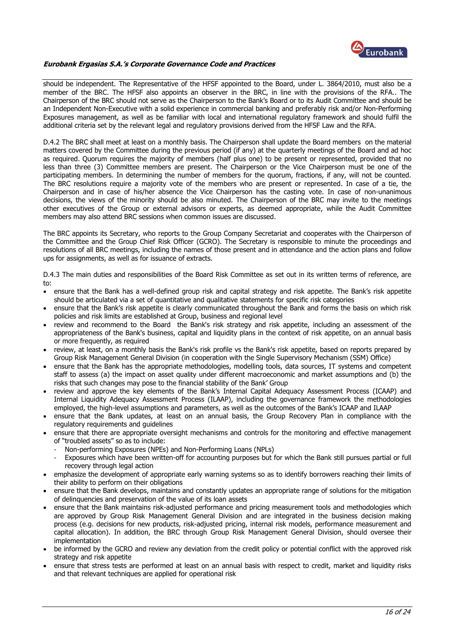

should be independent. The Representative of the HFSF appointed to the Board, under L. 3864/2010, must also be a member of the BRC. The HFSF also appoints an observer in the BRC, in line with the provisions of the RFA.. The Chairperson of the BRC should not serve as the Chairperson to the Bank's Board or to its Audit Committee and should be an Independent Non-Executive with a solid experience in commercial banking and preferably risk and/or Non-Performing Exposures management, as well as be familiar with local and international regulatory framework and should fulfil the additional criteria set by the relevant legal and regulatory provisions derived from the HFSF Law and the RFA.

D.4.2 The BRC shall meet at least on a monthly basis. The Chairperson shall update the Board members on the material matters covered by the Committee during the previous period (if any) at the quarterly meetings of the Board and ad hoc as required. Quorum requires the majority of members (half plus one) to be present or represented, provided that no less than three (3) Committee members are present. The Chairperson or the Vice Chairperson must be one of the participating members. In determining the number of members for the quorum, fractions, if any, will not be counted. The BRC resolutions require a majority vote of the members who are present or represented. In case of a tie, the Chairperson and in case of his/her absence the Vice Chairperson has the casting vote. In case of non-unanimous decisions, the views of the minority should be also minuted. The Chairperson of the BRC may invite to the meetings other executives of the Group or external advisors or experts, as deemed appropriate, while the Audit Committee members may also attend BRC sessions when common issues are discussed.

The BRC appoints its Secretary, who reports to the Group Company Secretariat and cooperates with the Chairperson of the Committee and the Group Chief Risk Officer (GCRO). The Secretary is responsible to minute the proceedings and resolutions of all BRC meetings, including the names of those present and in attendance and the action plans and follow ups for assignments, as well as for issuance of extracts.

D.4.3 The main duties and responsibilities of the Board Risk Committee as set out in its written terms of reference, are to:

- ensure that the Bank has a well-defined group risk and capital strategy and risk appetite. The Bank's risk appetite should be articulated via a set of quantitative and qualitative statements for specific risk categories
- ensure that the Bank's risk appetite is clearly communicated throughout the Bank and forms the basis on which risk policies and risk limits are established at Group, business and regional level
- review and recommend to the Board the Bank's risk strategy and risk appetite, including an assessment of the appropriateness of the Bank's business, capital and liquidity plans in the context of risk appetite, on an annual basis or more frequently, as required
- review, at least, on a monthly basis the Bank's risk profile vs the Bank's risk appetite, based on reports prepared by Group Risk Management General Division (in cooperation with the Single Supervisory Mechanism (SSM) Office)
- ensure that the Bank has the appropriate methodologies, modelling tools, data sources, IT systems and competent staff to assess (a) the impact on asset quality under different macroeconomic and market assumptions and (b) the risks that such changes may pose to the financial stability of the Bank' Group
- review and approve the key elements of the Bank's Internal Capital Adequacy Assessment Process (ICAAP) and Internal Liquidity Adequacy Assessment Process (ILAAP), including the governance framework the methodologies employed, the high-level assumptions and parameters, as well as the outcomes of the Bank's ICAAP and ILAAP
- ensure that the Bank updates, at least on an annual basis, the Group Recovery Plan in compliance with the regulatory requirements and guidelines
- ensure that there are appropriate oversight mechanisms and controls for the monitoring and effective management of "troubled assets" so as to include:
	- Non-performing Exposures (NPEs) and Non-Performing Loans (NPLs)
	- Exposures which have been written-off for accounting purposes but for which the Bank still pursues partial or full recovery through legal action
- emphasize the development of appropriate early warning systems so as to identify borrowers reaching their limits of their ability to perform on their obligations
- ensure that the Bank develops, maintains and constantly updates an appropriate range of solutions for the mitigation of delinquencies and preservation of the value of its loan assets
- ensure that the Bank maintains risk-adjusted performance and pricing measurement tools and methodologies which are approved by Group Risk Management General Division and are integrated in the business decision making process (e.g. decisions for new products, risk-adjusted pricing, internal risk models, performance measurement and capital allocation). In addition, the BRC through Group Risk Management General Division, should oversee their implementation
- be informed by the GCRO and review any deviation from the credit policy or potential conflict with the approved risk strategy and risk appetite
- ensure that stress tests are performed at least on an annual basis with respect to credit, market and liquidity risks and that relevant techniques are applied for operational risk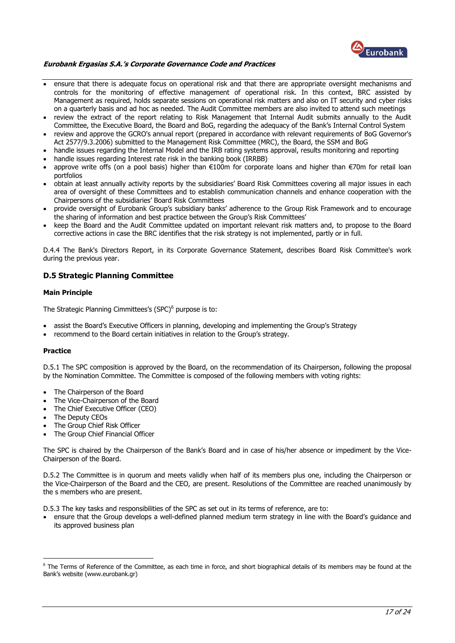

- ensure that there is adequate focus on operational risk and that there are appropriate oversight mechanisms and controls for the monitoring of effective management of operational risk. In this context, BRC assisted by Management as required, holds separate sessions on operational risk matters and also on IT security and cyber risks on a quarterly basis and ad hoc as needed. The Audit Committee members are also invited to attend such meetings
- review the extract of the report relating to Risk Management that Internal Audit submits annually to the Audit Committee, the Executive Board, the Board and BoG, regarding the adequacy of the Bank's Internal Control System
- review and approve the GCRO's annual report (prepared in accordance with relevant requirements of BoG Governor's Act 2577/9.3.2006) submitted to the Management Risk Committee (MRC), the Board, the SSM and BoG
- handle issues regarding the Internal Model and the IRB rating systems approval, results monitoring and reporting
- handle issues regarding Interest rate risk in the banking book (IRRBB)
- approve write offs (on a pool basis) higher than €100m for corporate loans and higher than €70m for retail loan portfolios
- obtain at least annually activity reports by the subsidiaries' Board Risk Committees covering all major issues in each area of oversight of these Committees and to establish communication channels and enhance cooperation with the Chairpersons of the subsidiaries' Board Risk Committees
- provide oversight of Eurobank Group's subsidiary banks' adherence to the Group Risk Framework and to encourage the sharing of information and best practice between the Group's Risk Committees'
- keep the Board and the Audit Committee updated on important relevant risk matters and, to propose to the Board corrective actions in case the BRC identifies that the risk strategy is not implemented, partly or in full.

D.4.4 The Bank's Directors Report, in its Corporate Governance Statement, describes Board Risk Committee's work during the previous year.

## <span id="page-16-0"></span>**D.5 Strategic Planning Committee**

## **Main Principle**

The Strategic Planning Cimmittees's (SPC)<sup>6</sup> purpose is to:

- assist the Board's Executive Officers in planning, developing and implementing the Group's Strategy
- recommend to the Board certain initiatives in relation to the Group's strategy.

#### **Practice**

<u>.</u>

D.5.1 The SPC composition is approved by the Board, on the recommendation of its Chairperson, following the proposal by the Nomination Committee. The Committee is composed of the following members with voting rights:

- The Chairperson of the Board
- The Vice-Chairperson of the Board
- The Chief Executive Officer (CEO)
- The Deputy CEOs
- The Group Chief Risk Officer
- The Group Chief Financial Officer

The SPC is chaired by the Chairperson of the Bank's Board and in case of his/her absence or impediment by the Vice-Chairperson of the Board.

D.5.2 The Committee is in quorum and meets validly when half of its members plus one, including the Chairperson or the Vice-Chairperson of the Board and the CEO, are present. Resolutions of the Committee are reached unanimously by the s members who are present.

D.5.3 The key tasks and responsibilities of the SPC as set out in its terms of reference, are to:

 ensure that the Group develops a well-defined planned medium term strategy in line with the Board's guidance and its approved business plan

 $6$  The Terms of Reference of the Committee, as each time in force, and short biographical details of its members may be found at the Bank's website (www.eurobank.gr)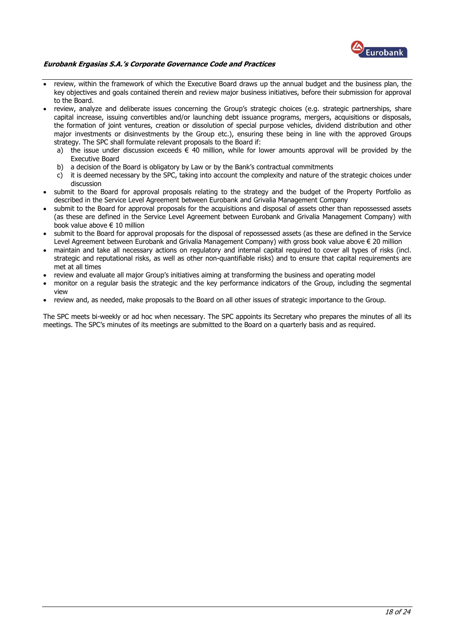

- review, within the framework of which the Executive Board draws up the annual budget and the business plan, the key objectives and goals contained therein and review major business initiatives, before their submission for approval to the Board.
- review, analyze and deliberate issues concerning the Group's strategic choices (e.g. strategic partnerships, share capital increase, issuing convertibles and/or launching debt issuance programs, mergers, acquisitions or disposals, the formation of joint ventures, creation or dissolution of special purpose vehicles, dividend distribution and other major investments or disinvestments by the Group etc.), ensuring these being in line with the approved Groups strategy. The SPC shall formulate relevant proposals to the Board if:
	- a) the issue under discussion exceeds  $\epsilon$  40 million, while for lower amounts approval will be provided by the Executive Board
	- b) a decision of the Board is obligatory by Law or by the Bank's contractual commitments
	- c) it is deemed necessary by the SPC, taking into account the complexity and nature of the strategic choices under discussion
- submit to the Board for approval proposals relating to the strategy and the budget of the Property Portfolio as described in the Service Level Agreement between Eurobank and Grivalia Management Company
- submit to the Board for approval proposals for the acquisitions and disposal of assets other than repossessed assets (as these are defined in the Service Level Agreement between Eurobank and Grivalia Management Company) with book value above € 10 million
- submit to the Board for approval proposals for the disposal of repossessed assets (as these are defined in the Service Level Agreement between Eurobank and Grivalia Management Company) with gross book value above € 20 million
- maintain and take all necessary actions on regulatory and internal capital required to cover all types of risks (incl. strategic and reputational risks, as well as other non-quantifiable risks) and to ensure that capital requirements are met at all times
- review and evaluate all major Group's initiatives aiming at transforming the business and operating model
- monitor on a regular basis the strategic and the key performance indicators of the Group, including the segmental view
- review and, as needed, make proposals to the Board on all other issues of strategic importance to the Group.

The SPC meets bi-weekly or ad hoc when necessary. The SPC appoints its Secretary who prepares the minutes of all its meetings. The SPC's minutes of its meetings are submitted to the Board on a quarterly basis and as required.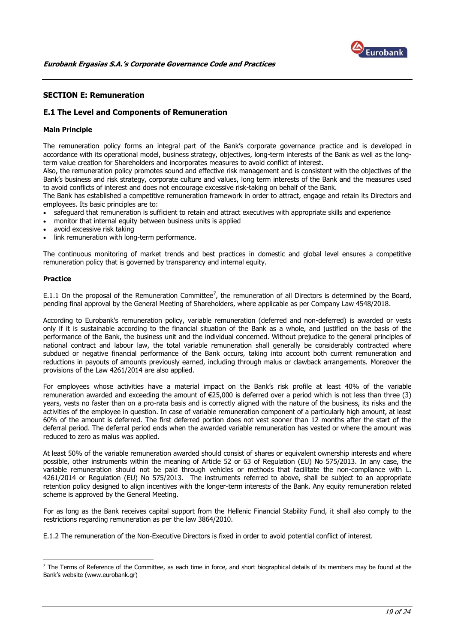

## <span id="page-18-0"></span>**SECTION E: Remuneration**

## <span id="page-18-1"></span>**E.1 The Level and Components of Remuneration**

## **Main Principle**

The remuneration policy forms an integral part of the Bank's corporate governance practice and is developed in accordance with its operational model, business strategy, objectives, long-term interests of the Bank as well as the longterm value creation for Shareholders and incorporates measures to avoid conflict of interest.

Also, the remuneration policy promotes sound and effective risk management and is consistent with the objectives of the Bank's business and risk strategy, corporate culture and values, long term interests of the Bank and the measures used to avoid conflicts of interest and does not encourage excessive risk-taking on behalf of the Bank.

The Bank has established a competitive remuneration framework in order to attract, engage and retain its Directors and employees. Its basic principles are to:

- safeguard that remuneration is sufficient to retain and attract executives with appropriate skills and experience
- monitor that internal equity between business units is applied
- avoid excessive risk taking
- link remuneration with long-term performance.

The continuous monitoring of market trends and best practices in domestic and global level ensures a competitive remuneration policy that is governed by transparency and internal equity.

#### **Practice**

<u>.</u>

E.1.1 On the proposal of the Remuneration Committee<sup>7</sup>, the remuneration of all Directors is determined by the Board, pending final approval by the General Meeting of Shareholders, where applicable as per Company Law 4548/2018.

According to Eurobank's remuneration policy, variable remuneration (deferred and non-deferred) is awarded or vests only if it is sustainable according to the financial situation of the Bank as a whole, and justified on the basis of the performance of the Bank, the business unit and the individual concerned. Without prejudice to the general principles of national contract and labour law, the total variable remuneration shall generally be considerably contracted where subdued or negative financial performance of the Bank occurs, taking into account both current remuneration and reductions in payouts of amounts previously earned, including through malus or clawback arrangements. Moreover the provisions of the Law 4261/2014 are also applied.

For employees whose activities have a material impact on the Bank's risk profile at least 40% of the variable remuneration awarded and exceeding the amount of €25,000 is deferred over a period which is not less than three (3) years, vests no faster than on a pro-rata basis and is correctly aligned with the nature of the business, its risks and the activities of the employee in question. In case of variable remuneration component of a particularly high amount, at least 60% of the amount is deferred. The first deferred portion does not vest sooner than 12 months after the start of the deferral period. The deferral period ends when the awarded variable remuneration has vested or where the amount was reduced to zero as malus was applied.

At least 50% of the variable remuneration awarded should consist of shares or equivalent ownership interests and where possible, other instruments within the meaning of Article 52 or 63 of Regulation (EU) No 575/2013. In any case, the variable remuneration should not be paid through vehicles or methods that facilitate the non-compliance with L. 4261/2014 or Regulation (EU) No 575/2013. The instruments referred to above, shall be subject to an appropriate retention policy designed to align incentives with the longer-term interests of the Bank. Any equity remuneration related scheme is approved by the General Meeting.

For as long as the Bank receives capital support from the Hellenic Financial Stability Fund, it shall also comply to the restrictions regarding remuneration as per the law 3864/2010.

E.1.2 The remuneration of the Non-Executive Directors is fixed in order to avoid potential conflict of interest.

 $<sup>7</sup>$  The Terms of Reference of the Committee, as each time in force, and short biographical details of its members may be found at the</sup> Bank's website (www.eurobank.gr)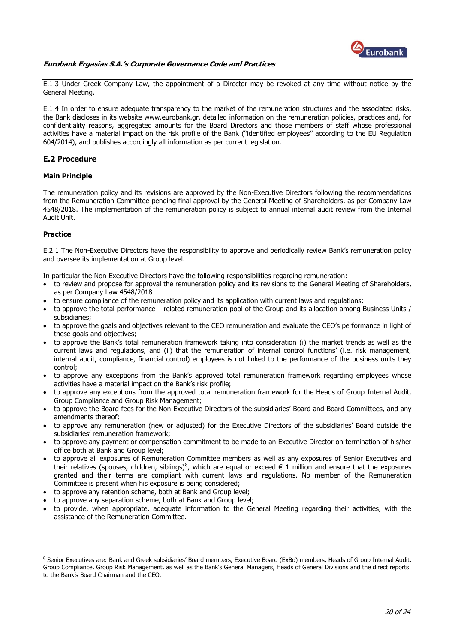

E.1.3 Under Greek Company Law, the appointment of a Director may be revoked at any time without notice by the General Meeting.

E.1.4 In order to ensure adequate transparency to the market of the remuneration structures and the associated risks, the Bank discloses in its website www.eurobank.gr, detailed information on the remuneration policies, practices and, for confidentiality reasons, aggregated amounts for the Board Directors and those members of staff whose professional activities have a material impact on the risk profile of the Bank ("identified employees" according to the EU Regulation 604/2014), and publishes accordingly all information as per current legislation.

## <span id="page-19-0"></span>**E.2 Procedure**

## **Main Principle**

The remuneration policy and its revisions are approved by the Non-Executive Directors following the recommendations from the Remuneration Committee pending final approval by the General Meeting of Shareholders, as per Company Law 4548/2018. The implementation of the remuneration policy is subject to annual internal audit review from the Internal Audit Unit.

## **Practice**

<u>.</u>

E.2.1 The Non-Executive Directors have the responsibility to approve and periodically review Bank's remuneration policy and oversee its implementation at Group level.

In particular the Non-Executive Directors have the following responsibilities regarding remuneration:

- to review and propose for approval the remuneration policy and its revisions to the General Meeting of Shareholders, as per Company Law 4548/2018
- to ensure compliance of the remuneration policy and its application with current laws and regulations;
- to approve the total performance related remuneration pool of the Group and its allocation among Business Units / subsidiaries;
- to approve the goals and objectives relevant to the CEO remuneration and evaluate the CEO's performance in light of these goals and objectives;
- to approve the Bank's total remuneration framework taking into consideration (i) the market trends as well as the current laws and regulations, and (ii) that the remuneration of internal control functions' (i.e. risk management, internal audit, compliance, financial control) employees is not linked to the performance of the business units they control;
- to approve any exceptions from the Bank's approved total remuneration framework regarding employees whose activities have a material impact on the Bank's risk profile;
- to approve any exceptions from the approved total remuneration framework for the Heads of Group Internal Audit, Group Compliance and Group Risk Management;
- to approve the Board fees for the Non-Executive Directors of the subsidiaries' Board and Board Committees, and any amendments thereof;
- to approve any remuneration (new or adjusted) for the Executive Directors of the subsidiaries' Board outside the subsidiaries' remuneration framework;
- to approve any payment or compensation commitment to be made to an Executive Director on termination of his/her office both at Bank and Group level;
- to approve all exposures of Remuneration Committee members as well as any exposures of Senior Executives and their relatives (spouses, children, siblings)<sup>8</sup>, which are equal or exceed  $\in 1$  million and ensure that the exposures granted and their terms are compliant with current laws and regulations. No member of the Remuneration Committee is present when his exposure is being considered;
- to approve any retention scheme, both at Bank and Group level;
- to approve any separation scheme, both at Bank and Group level;
- to provide, when appropriate, adequate information to the General Meeting regarding their activities, with the assistance of the Remuneration Committee.

<sup>&</sup>lt;sup>8</sup> Senior Executives are: Bank and Greek subsidiaries' Board members, Executive Board (ExBo) members, Heads of Group Internal Audit, Group Compliance, Group Risk Management, as well as the Bank's General Managers, Heads of General Divisions and the direct reports to the Bank's Board Chairman and the CEO.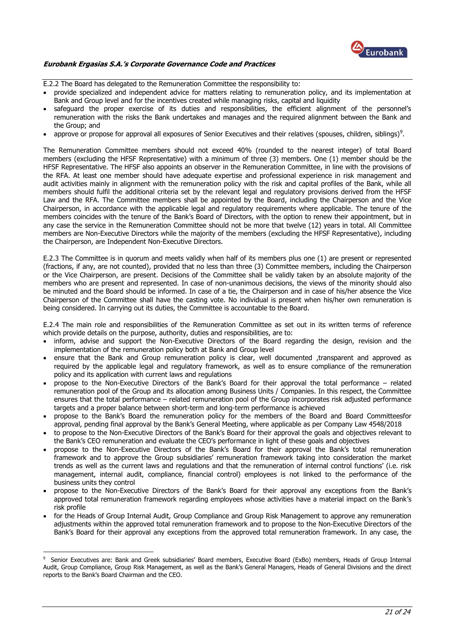

E.2.2 The Board has delegated to the Remuneration Committee the responsibility to:

- provide specialized and independent advice for matters relating to remuneration policy, and its implementation at Bank and Group level and for the incentives created while managing risks, capital and liquidity
- safeguard the proper exercise of its duties and responsibilities, the efficient alignment of the personnel's remuneration with the risks the Bank undertakes and manages and the required alignment between the Bank and the Group; and
- approve or propose for approval all exposures of Senior Executives and their relatives (spouses, children, siblings)<sup>9</sup>.

The Remuneration Committee members should not exceed 40% (rounded to the nearest integer) of total Board members (excluding the HFSF Representative) with a minimum of three (3) members. One (1) member should be the HFSF Representative. The HFSF also appoints an observer in the Remuneration Committee, in line with the provisions of the RFA. At least one member should have adequate expertise and professional experience in risk management and audit activities mainly in alignment with the remuneration policy with the risk and capital profiles of the Bank, while all members should fulfil the additional criteria set by the relevant legal and regulatory provisions derived from the HFSF Law and the RFA. The Committee members shall be appointed by the Board, including the Chairperson and the Vice Chairperson, in accordance with the applicable legal and regulatory requirements where applicable. The tenure of the members coincides with the tenure of the Bank's Board of Directors, with the option to renew their appointment, but in any case the service in the Remuneration Committee should not be more that twelve (12) years in total. All Committee members are Non-Executive Directors while the majority of the members (excluding the HFSF Representative), including the Chairperson, are Independent Non-Executive Directors.

E.2.3 The Committee is in quorum and meets validly when half of its members plus one (1) are present or represented (fractions, if any, are not counted), provided that no less than three (3) Committee members, including the Chairperson or the Vice Chairperson, are present. Decisions of the Committee shall be validly taken by an absolute majority of the members who are present and represented. In case of non-unanimous decisions, the views of the minority should also be minuted and the Board should be informed. In case of a tie, the Chairperson and in case of his/her absence the Vice Chairperson of the Committee shall have the casting vote. No individual is present when his/her own remuneration is being considered. In carrying out its duties, the Committee is accountable to the Board.

E.2.4 The main role and responsibilities of the Remuneration Committee as set out in its written terms of reference which provide details on the purpose, authority, duties and responsibilities, are to:

- inform, advise and support the Non-Executive Directors of the Board regarding the design, revision and the implementation of the remuneration policy both at Bank and Group level
- ensure that the Bank and Group remuneration policy is clear, well documented ,transparent and approved as required by the applicable legal and regulatory framework, as well as to ensure compliance of the remuneration policy and its application with current laws and regulations
- propose to the Non-Executive Directors of the Bank's Board for their approval the total performance related remuneration pool of the Group and its allocation among Business Units / Companies. In this respect, the Committee ensures that the total performance – related remuneration pool of the Group incorporates risk adjusted performance targets and a proper balance between short-term and long-term performance is achieved
- propose to the Bank's Board the remuneration policy for the members of the Board and Board Committeesfor approval, pending final approval by the Bank's General Meeting, where applicable as per Company Law 4548/2018
- to propose to the Non-Executive Directors of the Bank's Board for their approval the goals and objectives relevant to the Bank's CEO remuneration and evaluate the CEO's performance in light of these goals and objectives
- propose to the Non-Executive Directors of the Bank's Board for their approval the Bank's total remuneration framework and to approve the Group subsidiaries' remuneration framework taking into consideration the market trends as well as the current laws and regulations and that the remuneration of internal control functions' (i.e. risk management, internal audit, compliance, financial control) employees is not linked to the performance of the business units they control
- propose to the Non-Executive Directors of the Bank's Board for their approval any exceptions from the Bank's approved total remuneration framework regarding employees whose activities have a material impact on the Bank's risk profile
- for the Heads of Group Internal Audit, Group Compliance and Group Risk Management to approve any remuneration adjustments within the approved total remuneration framework and to propose to the Non-Executive Directors of the Bank's Board for their approval any exceptions from the approved total remuneration framework. In any case, the

<sup>&</sup>lt;u>.</u> 9 Senior Executives are: Bank and Greek subsidiaries' Board members, Executive Board (ExBo) members, Heads of Group Internal Audit, Group Compliance, Group Risk Management, as well as the Bank's General Managers, Heads of General Divisions and the direct reports to the Bank's Board Chairman and the CEO.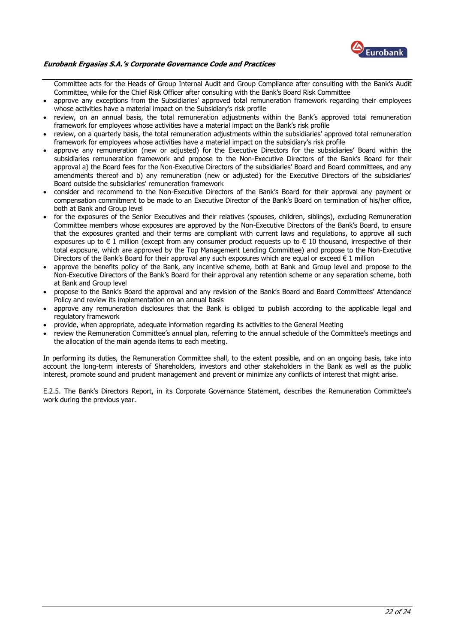

Committee acts for the Heads of Group Internal Audit and Group Compliance after consulting with the Bank's Audit Committee, while for the Chief Risk Officer after consulting with the Bank's Board Risk Committee

- approve any exceptions from the Subsidiaries' approved total remuneration framework regarding their employees whose activities have a material impact on the Subsidiary's risk profile
- review, on an annual basis, the total remuneration adjustments within the Bank's approved total remuneration framework for employees whose activities have a material impact on the Bank's risk profile
- review, on a quarterly basis, the total remuneration adjustments within the subsidiaries' approved total remuneration framework for employees whose activities have a material impact on the subsidiary's risk profile
- approve any remuneration (new or adjusted) for the Executive Directors for the subsidiaries' Board within the subsidiaries remuneration framework and propose to the Non-Executive Directors of the Bank's Board for their approval a) the Board fees for the Non-Executive Directors of the subsidiaries' Board and Board committees, and any amendments thereof and b) any remuneration (new or adjusted) for the Executive Directors of the subsidiaries' Board outside the subsidiaries' remuneration framework
- consider and recommend to the Non-Executive Directors of the Bank's Board for their approval any payment or compensation commitment to be made to an Executive Director of the Bank's Board on termination of his/her office, both at Bank and Group level
- for the exposures of the Senior Executives and their relatives (spouses, children, siblings), excluding Remuneration Committee members whose exposures are approved by the Non-Executive Directors of the Bank's Board, to ensure that the exposures granted and their terms are compliant with current laws and regulations, to approve all such exposures up to  $\epsilon$  1 million (except from any consumer product requests up to  $\epsilon$  10 thousand, irrespective of their total exposure, which are approved by the Top Management Lending Committee) and propose to the Non-Executive Directors of the Bank's Board for their approval any such exposures which are equal or exceed  $\epsilon$  1 million
- approve the benefits policy of the Bank, any incentive scheme, both at Bank and Group level and propose to the Non-Executive Directors of the Bank's Board for their approval any retention scheme or any separation scheme, both at Bank and Group level
- propose to the Bank's Board the approval and any revision of the Bank's Board and Board Committees' Attendance Policy and review its implementation on an annual basis
- approve any remuneration disclosures that the Bank is obliged to publish according to the applicable legal and regulatory framework
- provide, when appropriate, adequate information regarding its activities to the General Meeting
- review the Remuneration Committee's annual plan, referring to the annual schedule of the Committee's meetings and the allocation of the main agenda items to each meeting.

In performing its duties, the Remuneration Committee shall, to the extent possible, and on an ongoing basis, take into account the long-term interests of Shareholders, investors and other stakeholders in the Bank as well as the public interest, promote sound and prudent management and prevent or minimize any conflicts of interest that might arise.

E.2.5. The Bank's Directors Report, in its Corporate Governance Statement, describes the Remuneration Committee's work during the previous year.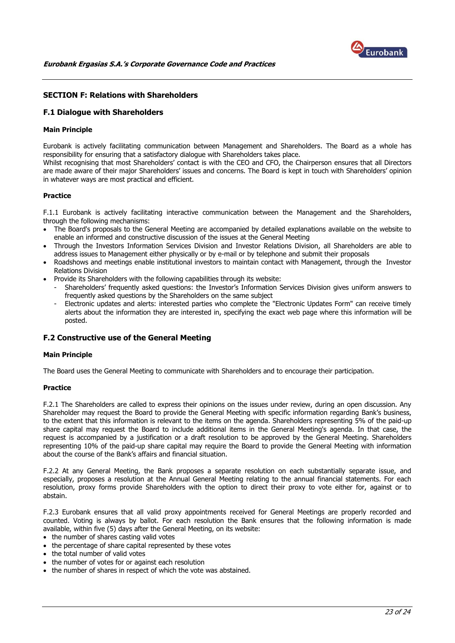

## <span id="page-22-0"></span>**SECTION F: Relations with Shareholders**

## <span id="page-22-1"></span>**F.1 Dialogue with Shareholders**

#### **Main Principle**

Eurobank is actively facilitating communication between Management and Shareholders. The Board as a whole has responsibility for ensuring that a satisfactory dialogue with Shareholders takes place.

Whilst recognising that most Shareholders' contact is with the CEO and CFO, the Chairperson ensures that all Directors are made aware of their major Shareholders' issues and concerns. The Board is kept in touch with Shareholders' opinion in whatever ways are most practical and efficient.

## **Practice**

F.1.1 Eurobank is actively facilitating interactive communication between the Management and the Shareholders, through the following mechanisms:

- The Board's proposals to the General Meeting are accompanied by detailed explanations available on the website to enable an informed and constructive discussion of the issues at the General Meeting
- Through the Investors Information Services Division and Investor Relations Division, all Shareholders are able to address issues to Management either physically or by e-mail or by telephone and submit their proposals
- Roadshows and meetings enable institutional investors to maintain contact with Management, through the Investor Relations Division
- Provide its Shareholders with the following capabilities through its website:
	- Shareholders' frequently asked questions: the Investor's Information Services Division gives uniform answers to frequently asked questions by the Shareholders on the same subject
	- Electronic updates and alerts: interested parties who complete the "Electronic Updates Form" can receive timely alerts about the information they are interested in, specifying the exact web page where this information will be posted.

## <span id="page-22-2"></span>**F.2 Constructive use of the General Meeting**

## **Main Principle**

The Board uses the General Meeting to communicate with Shareholders and to encourage their participation.

## **Practice**

F.2.1 The Shareholders are called to express their opinions on the issues under review, during an open discussion. Any Shareholder may request the Board to provide the General Meeting with specific information regarding Bank's business, to the extent that this information is relevant to the items on the agenda. Shareholders representing 5% of the paid-up share capital may request the Board to include additional items in the General Meeting's agenda. In that case, the request is accompanied by a justification or a draft resolution to be approved by the General Meeting. Shareholders representing 10% of the paid-up share capital may require the Board to provide the General Meeting with information about the course of the Bank's affairs and financial situation.

F.2.2 At any General Meeting, the Bank proposes a separate resolution on each substantially separate issue, and especially, proposes a resolution at the Annual General Meeting relating to the annual financial statements. For each resolution, proxy forms provide Shareholders with the option to direct their proxy to vote either for, against or to abstain.

F.2.3 Eurobank ensures that all valid proxy appointments received for General Meetings are properly recorded and counted. Voting is always by ballot. For each resolution the Bank ensures that the following information is made available, within five (5) days after the General Meeting, on its website:

- the number of shares casting valid votes
- the percentage of share capital represented by these votes
- the total number of valid votes
- the number of votes for or against each resolution
- the number of shares in respect of which the vote was abstained.